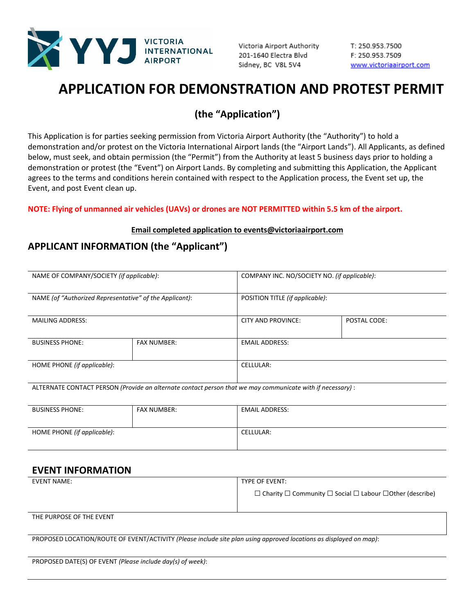

Victoria Airport Authority 201-1640 Electra Blvd Sidney, BC V8L 5V4

T: 250.953.7500 F: 250.953.7509 www.victoriaairport.com

# **APPLICATION FOR DEMONSTRATION AND PROTEST PERMIT**

# **(the "Application")**

This Application is for parties seeking permission from Victoria Airport Authority (the "Authority") to hold a demonstration and/or protest on the Victoria International Airport lands (the "Airport Lands"). All Applicants, as defined below, must seek, and obtain permission (the "Permit") from the Authority at least 5 business days prior to holding a demonstration or protest (the "Event") on Airport Lands. By completing and submitting this Application, the Applicant agrees to the terms and conditions herein contained with respect to the Application process, the Event set up, the Event, and post Event clean up.

**NOTE: Flying of unmanned air vehicles (UAVs) or drones are NOT PERMITTED within 5.5 km of the airport.**

#### **Email completed application to events@victoriaairport.com**

## **APPLICANT INFORMATION (the "Applicant")**

| NAME OF COMPANY/SOCIETY (if applicable):                |                    |                       | COMPANY INC. NO/SOCIETY NO. (if applicable): |  |  |  |
|---------------------------------------------------------|--------------------|-----------------------|----------------------------------------------|--|--|--|
| NAME (of "Authorized Representative" of the Applicant): |                    |                       | POSITION TITLE (if applicable):              |  |  |  |
| <b>MAILING ADDRESS:</b>                                 |                    | CITY AND PROVINCE:    | POSTAL CODE:                                 |  |  |  |
| <b>BUSINESS PHONE:</b>                                  | <b>FAX NUMBER:</b> | <b>EMAIL ADDRESS:</b> |                                              |  |  |  |
| HOME PHONE (if applicable):                             |                    | <b>CELLULAR:</b>      |                                              |  |  |  |

ALTERNATE CONTACT PERSON *(Provide an alternate contact person that we may communicate with if necessary)* :

| <b>BUSINESS PHONE:</b>      | FAX NUMBER: | <b>EMAIL ADDRESS:</b> |
|-----------------------------|-------------|-----------------------|
| HOME PHONE (if applicable): |             | CELLULAR:             |

### **EVENT INFORMATION**

| <b>EVENT NAME:</b> | TYPE OF EVENT:                                                                      |
|--------------------|-------------------------------------------------------------------------------------|
|                    | $\Box$ Charity $\Box$ Community $\Box$ Social $\Box$ Labour $\Box$ Other (describe) |
|                    |                                                                                     |

THE PURPOSE OF THE EVENT

PROPOSED LOCATION/ROUTE OF EVENT/ACTIVITY *(Please include site plan using approved locations as displayed on map)*:

PROPOSED DATE(S) OF EVENT *(Please include day(s) of week)*: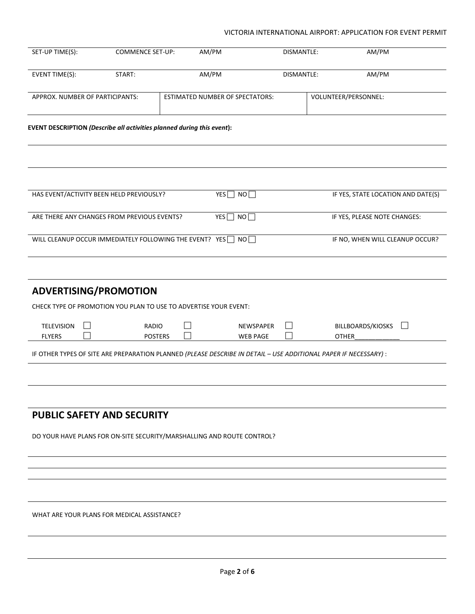#### VICTORIA INTERNATIONAL AIRPORT: APPLICATION FOR EVENT PERMIT

| SET-UP TIME(S):                                                                                                 | <b>COMMENCE SET-UP:</b>        | AM/PM                                  | DISMANTLE:               |                      | AM/PM                              |  |
|-----------------------------------------------------------------------------------------------------------------|--------------------------------|----------------------------------------|--------------------------|----------------------|------------------------------------|--|
| EVENT TIME(S):                                                                                                  | START:                         | AM/PM                                  | DISMANTLE:               |                      | AM/PM                              |  |
| APPROX. NUMBER OF PARTICIPANTS:                                                                                 |                                | <b>ESTIMATED NUMBER OF SPECTATORS:</b> |                          | VOLUNTEER/PERSONNEL: |                                    |  |
| EVENT DESCRIPTION (Describe all activities planned during this event):                                          |                                |                                        |                          |                      |                                    |  |
|                                                                                                                 |                                |                                        |                          |                      |                                    |  |
| HAS EVENT/ACTIVITY BEEN HELD PREVIOUSLY?                                                                        |                                | $YES$ NO                               |                          |                      | IF YES, STATE LOCATION AND DATE(S) |  |
| ARE THERE ANY CHANGES FROM PREVIOUS EVENTS?                                                                     |                                | YES <sup>n</sup> NO <sup>n</sup>       |                          |                      | IF YES, PLEASE NOTE CHANGES:       |  |
| WILL CLEANUP OCCUR IMMEDIATELY FOLLOWING THE EVENT? YES   NO                                                    |                                |                                        |                          |                      | IF NO, WHEN WILL CLEANUP OCCUR?    |  |
|                                                                                                                 |                                |                                        |                          |                      |                                    |  |
| ADVERTISING/PROMOTION                                                                                           |                                |                                        |                          |                      |                                    |  |
| CHECK TYPE OF PROMOTION YOU PLAN TO USE TO ADVERTISE YOUR EVENT:                                                |                                |                                        |                          |                      |                                    |  |
| <b>TELEVISION</b><br><b>FLYERS</b>                                                                              | <b>RADIO</b><br><b>POSTERS</b> | NEWSPAPER<br><b>WEB PAGE</b>           | $\overline{\phantom{a}}$ | <b>OTHER</b>         | BILLBOARDS/KIOSKS                  |  |
| IF OTHER TYPES OF SITE ARE PREPARATION PLANNED (PLEASE DESCRIBE IN DETAIL - USE ADDITIONAL PAPER IF NECESSARY): |                                |                                        |                          |                      |                                    |  |
|                                                                                                                 |                                |                                        |                          |                      |                                    |  |
|                                                                                                                 |                                |                                        |                          |                      |                                    |  |
| <b>PUBLIC SAFETY AND SECURITY</b>                                                                               |                                |                                        |                          |                      |                                    |  |
| DO YOUR HAVE PLANS FOR ON-SITE SECURITY/MARSHALLING AND ROUTE CONTROL?                                          |                                |                                        |                          |                      |                                    |  |
|                                                                                                                 |                                |                                        |                          |                      |                                    |  |
|                                                                                                                 |                                |                                        |                          |                      |                                    |  |
|                                                                                                                 |                                |                                        |                          |                      |                                    |  |
| WHAT ARE YOUR PLANS FOR MEDICAL ASSISTANCE?                                                                     |                                |                                        |                          |                      |                                    |  |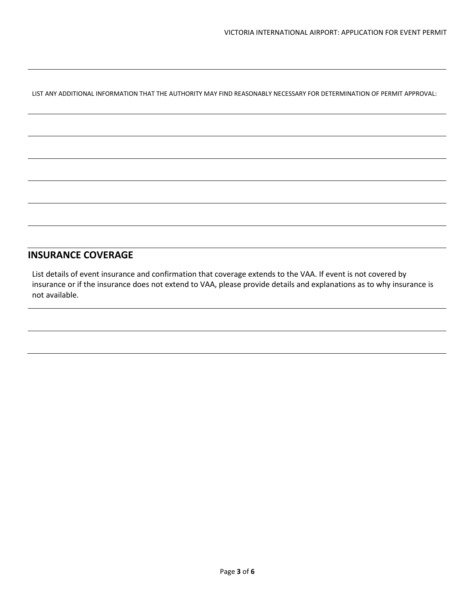LIST ANY ADDITIONAL INFORMATION THAT THE AUTHORITY MAY FIND REASONABLY NECESSARY FOR DETERMINATION OF PERMIT APPROVAL:

### **INSURANCE COVERAGE**

List details of event insurance and confirmation that coverage extends to the VAA. If event is not covered by insurance or if the insurance does not extend to VAA, please provide details and explanations as to why insurance is not available.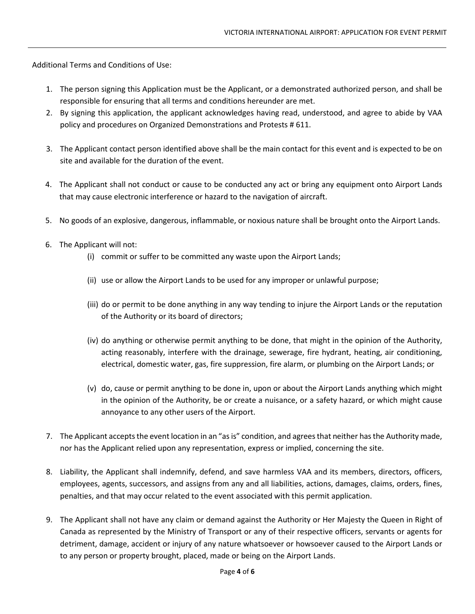Additional Terms and Conditions of Use:

- 1. The person signing this Application must be the Applicant, or a demonstrated authorized person, and shall be responsible for ensuring that all terms and conditions hereunder are met.
- 2. By signing this application, the applicant acknowledges having read, understood, and agree to abide by VAA policy and procedures on Organized Demonstrations and Protests # 611.
- 3. The Applicant contact person identified above shall be the main contact for this event and is expected to be on site and available for the duration of the event.
- 4. The Applicant shall not conduct or cause to be conducted any act or bring any equipment onto Airport Lands that may cause electronic interference or hazard to the navigation of aircraft.
- 5. No goods of an explosive, dangerous, inflammable, or noxious nature shall be brought onto the Airport Lands.
- 6. The Applicant will not:
	- (i) commit or suffer to be committed any waste upon the Airport Lands;
	- (ii) use or allow the Airport Lands to be used for any improper or unlawful purpose;
	- (iii) do or permit to be done anything in any way tending to injure the Airport Lands or the reputation of the Authority or its board of directors;
	- (iv) do anything or otherwise permit anything to be done, that might in the opinion of the Authority, acting reasonably, interfere with the drainage, sewerage, fire hydrant, heating, air conditioning, electrical, domestic water, gas, fire suppression, fire alarm, or plumbing on the Airport Lands; or
	- (v) do, cause or permit anything to be done in, upon or about the Airport Lands anything which might in the opinion of the Authority, be or create a nuisance, or a safety hazard, or which might cause annoyance to any other users of the Airport.
- 7. The Applicant accepts the event location in an "as is" condition, and agrees that neither has the Authority made, nor has the Applicant relied upon any representation, express or implied, concerning the site.
- 8. Liability, the Applicant shall indemnify, defend, and save harmless VAA and its members, directors, officers, employees, agents, successors, and assigns from any and all liabilities, actions, damages, claims, orders, fines, penalties, and that may occur related to the event associated with this permit application.
- 9. The Applicant shall not have any claim or demand against the Authority or Her Majesty the Queen in Right of Canada as represented by the Ministry of Transport or any of their respective officers, servants or agents for detriment, damage, accident or injury of any nature whatsoever or howsoever caused to the Airport Lands or to any person or property brought, placed, made or being on the Airport Lands.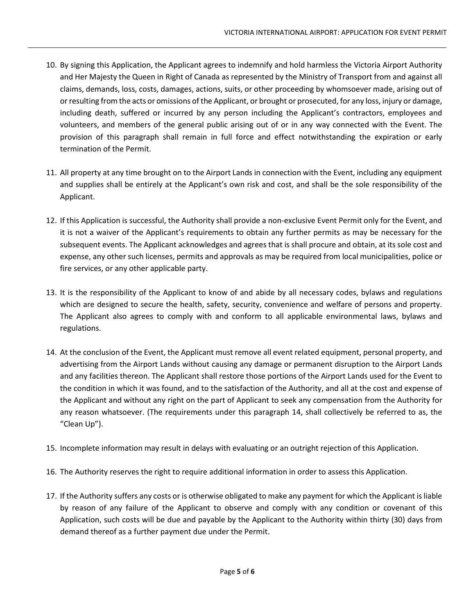- 10. By signing this Application, the Applicant agrees to indemnify and hold harmless the Victoria Airport Authority and Her Majesty the Queen in Right of Canada as represented by the Ministry of Transport from and against all claims, demands, loss, costs, damages, actions, suits, or other proceeding by whomsoever made, arising out of or resulting from the acts or omissions of the Applicant, or brought or prosecuted, for any loss, injury or damage, including death, suffered or incurred by any person including the Applicant's contractors, employees and volunteers, and members of the general public arising out of or in any way connected with the Event. The provision of this paragraph shall remain in full force and effect notwithstanding the expiration or early termination of the Permit.
- 11. All property at any time brought on to the Airport Lands in connection with the Event, including any equipment and supplies shall be entirely at the Applicant's own risk and cost, and shall be the sole responsibility of the Applicant.
- 12. If this Application is successful, the Authority shall provide a non-exclusive Event Permit only for the Event, and it is not a waiver of the Applicant's requirements to obtain any further permits as may be necessary for the subsequent events. The Applicant acknowledges and agrees that is shall procure and obtain, at its sole cost and expense, any other such licenses, permits and approvals as may be required from local municipalities, police or fire services, or any other applicable party.
- 13. It is the responsibility of the Applicant to know of and abide by all necessary codes, bylaws and regulations which are designed to secure the health, safety, security, convenience and welfare of persons and property. The Applicant also agrees to comply with and conform to all applicable environmental laws, bylaws and regulations.
- 14. At the conclusion of the Event, the Applicant must remove all event related equipment, personal property, and advertising from the Airport Lands without causing any damage or permanent disruption to the Airport Lands and any facilities thereon. The Applicant shall restore those portions of the Airport Lands used for the Event to the condition in which it was found, and to the satisfaction of the Authority, and all at the cost and expense of the Applicant and without any right on the part of Applicant to seek any compensation from the Authority for any reason whatsoever. (The requirements under this paragraph 14, shall collectively be referred to as, the "Clean Up").
- 15. Incomplete information may result in delays with evaluating or an outright rejection of this Application.
- 16. The Authority reserves the right to require additional information in order to assess this Application.
- 17. If the Authority suffers any costs or is otherwise obligated to make any payment for which the Applicant is liable by reason of any failure of the Applicant to observe and comply with any condition or covenant of this Application, such costs will be due and payable by the Applicant to the Authority within thirty (30) days from demand thereof as a further payment due under the Permit.